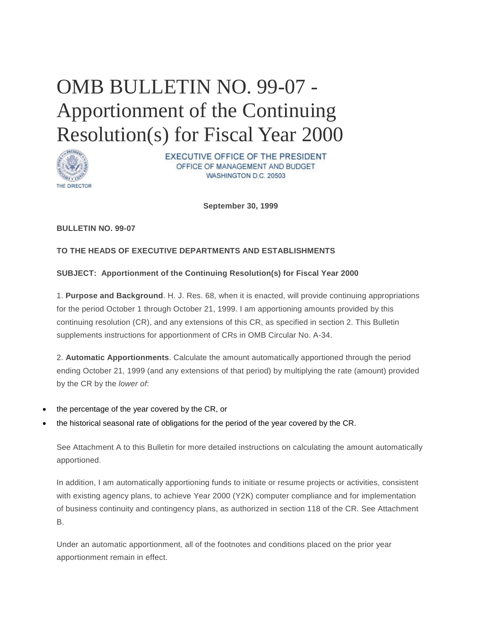# OMB BULLETIN NO. 99-07 - Apportionment of the Continuing Resolution(s) for Fiscal Year 2000



EXECUTIVE OFFICE OF THE PRESIDENT OFFICE OF MANAGEMENT AND BUDGET WASHINGTON D.C. 20503

**September 30, 1999**

## **BULLETIN NO. 99-07**

## **TO THE HEADS OF EXECUTIVE DEPARTMENTS AND ESTABLISHMENTS**

## **SUBJECT: Apportionment of the Continuing Resolution(s) for Fiscal Year 2000**

1. **Purpose and Background**. H. J. Res. 68, when it is enacted, will provide continuing appropriations for the period October 1 through October 21, 1999. I am apportioning amounts provided by this continuing resolution (CR), and any extensions of this CR, as specified in section 2. This Bulletin supplements instructions for apportionment of CRs in OMB Circular No. A-34.

2. **Automatic Apportionments**. Calculate the amount automatically apportioned through the period ending October 21, 1999 (and any extensions of that period) by multiplying the rate (amount) provided by the CR by the *lower of*:

- the percentage of the year covered by the CR, or
- the historical seasonal rate of obligations for the period of the year covered by the CR.

See Attachment A to this Bulletin for more detailed instructions on calculating the amount automatically apportioned.

In addition, I am automatically apportioning funds to initiate or resume projects or activities, consistent with existing agency plans, to achieve Year 2000 (Y2K) computer compliance and for implementation of business continuity and contingency plans, as authorized in section 118 of the CR. See Attachment B.

Under an automatic apportionment, all of the footnotes and conditions placed on the prior year apportionment remain in effect.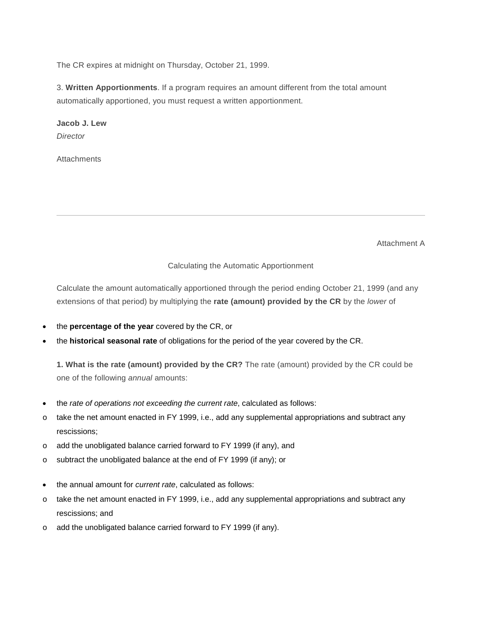The CR expires at midnight on Thursday, October 21, 1999.

3. **Written Apportionments**. If a program requires an amount different from the total amount automatically apportioned, you must request a written apportionment.

**Jacob J. Lew** *Director*

**Attachments** 

Attachment A

#### Calculating the Automatic Apportionment

<span id="page-1-0"></span>Calculate the amount automatically apportioned through the period ending October 21, 1999 (and any extensions of that period) by multiplying the **rate (amount) provided by the CR** by the *lower* of

- the **percentage of the year** covered by the CR, or
- the **historical seasonal rate** of obligations for the period of the year covered by the CR.

**1. What is the rate (amount) provided by the CR?** The rate (amount) provided by the CR could be one of the following *annual* amounts:

- the *rate of operations not exceeding the current rate*, calculated as follows:
- $\circ$  take the net amount enacted in FY 1999, i.e., add any supplemental appropriations and subtract any rescissions;
- o add the unobligated balance carried forward to FY 1999 (if any), and
- o subtract the unobligated balance at the end of FY 1999 (if any); or
- the annual amount for *current rate*, calculated as follows:
- o take the net amount enacted in FY 1999, i.e., add any supplemental appropriations and subtract any rescissions; and
- o add the unobligated balance carried forward to FY 1999 (if any).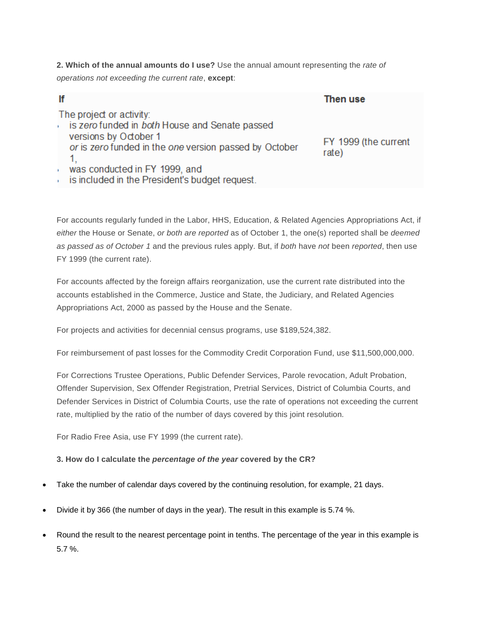**2. Which of the annual amounts do I use?** Use the annual amount representing the *rate of operations not exceeding the current rate*, **except**:

| lf                                                                                                                                                            | Then use                      |
|---------------------------------------------------------------------------------------------------------------------------------------------------------------|-------------------------------|
| The project or activity:<br>is zero funded in both House and Senate passed<br>versions by October 1<br>or is zero funded in the one version passed by October | FY 1999 (the current<br>rate) |
| was conducted in FY 1999, and                                                                                                                                 |                               |
| is included in the President's budget request.                                                                                                                |                               |

For accounts regularly funded in the Labor, HHS, Education, & Related Agencies Appropriations Act, if *either* the House or Senate, *or both are reported* as of October 1, the one(s) reported shall be *deemed as passed as of October 1* and the previous rules apply. But, if *both* have *not* been *reported*, then use FY 1999 (the current rate).

For accounts affected by the foreign affairs reorganization, use the current rate distributed into the accounts established in the Commerce, Justice and State, the Judiciary, and Related Agencies Appropriations Act, 2000 as passed by the House and the Senate.

For projects and activities for decennial census programs, use \$189,524,382.

For reimbursement of past losses for the Commodity Credit Corporation Fund, use \$11,500,000,000.

For Corrections Trustee Operations, Public Defender Services, Parole revocation, Adult Probation, Offender Supervision, Sex Offender Registration, Pretrial Services, District of Columbia Courts, and Defender Services in District of Columbia Courts, use the rate of operations not exceeding the current rate, multiplied by the ratio of the number of days covered by this joint resolution*.*

For Radio Free Asia, use FY 1999 (the current rate).

## **3. How do I calculate the** *percentage of the year* **covered by the CR?**

- Take the number of calendar days covered by the continuing resolution, for example, 21 days.
- Divide it by 366 (the number of days in the year). The result in this example is 5.74 %.
- Round the result to the nearest percentage point in tenths. The percentage of the year in this example is 5.7 %.